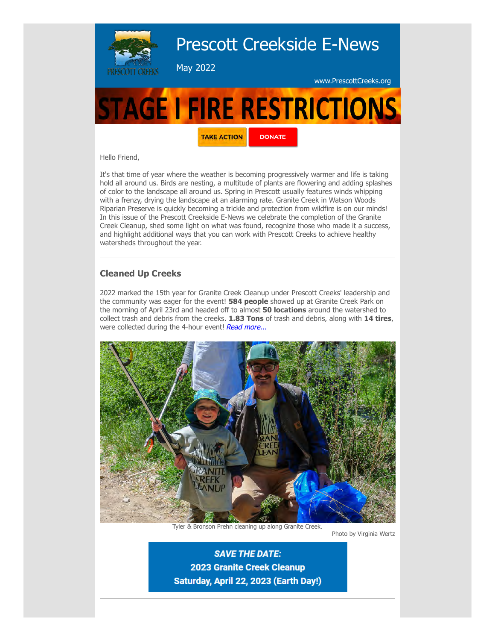

Hello Friend,

It's that time of year where the weather is becoming progressively warmer and life is taking hold all around us. Birds are nesting, a multitude of plants are flowering and adding splashes of color to the landscape all around us. Spring in Prescott usually features winds whipping with a frenzy, drying the landscape at an alarming rate. Granite Creek in Watson Woods Riparian Preserve is quickly becoming a trickle and protection from wildfire is on our minds! In this issue of the Prescott Creekside E-News we celebrate the completion of the Granite Creek Cleanup, shed some light on what was found, recognize those who made it a success, and highlight additional ways that you can work with Prescott Creeks to achieve healthy watersheds throughout the year.

## **Cleaned Up Creeks**

2022 marked the 15th year for Granite Creek Cleanup under Prescott Creeks' leadership and the community was eager for the event! **584 people** showed up at Granite Creek Park on the morning of April 23rd and headed off to almost **50 locations** around the watershed to collect trash and debris from the creeks. **1.83 Tons** of trash and debris, along with **14 tires**, were collected during the 4-hour event! [Read more...](https://prescottcreeks.org/cleanup/)



Tyler & Bronson Prehn cleaning up along Granite Creek.

Photo by Virginia Wertz

**SAVE THE DATE: 2023 Granite Creek Cleanup** Saturday, April 22, 2023 (Earth Day!)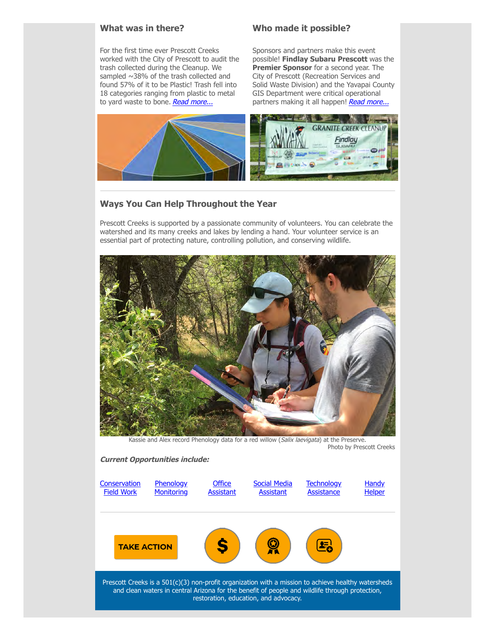#### **What was in there?**

For the first time ever Prescott Creeks worked with the City of Prescott to audit the trash collected during the Cleanup. We sampled ~38% of the trash collected and found 57% of it to be Plastic! Trash fell into 18 categories ranging from plastic to metal to yard waste to bone. [Read more...](https://prescottcreeks.org/2022-cleanup-trash-audit/)

### **Who made it possible?**

Sponsors and partners make this event possible! **Findlay Subaru Prescott** was the **Premier Sponsor** for a second year. The City of Prescott (Recreation Services and Solid Waste Division) and the Yavapai County GIS Department were critical operational partners making it all happen! [Read more...](https://prescottcreeks.org/cleanup-sponsors/)



# **Ways You Can Help Throughout the Year**

Prescott Creeks is supported by a passionate community of volunteers. You can celebrate the watershed and its many creeks and lakes by lending a hand. Your volunteer service is an essential part of protecting nature, controlling pollution, and conserving wildlife.



Kassie and Alex record Phenology data for a red willow (Salix laevigata) at the Preserve. Photo by Prescott Creeks

#### **Current Opportunities include:**